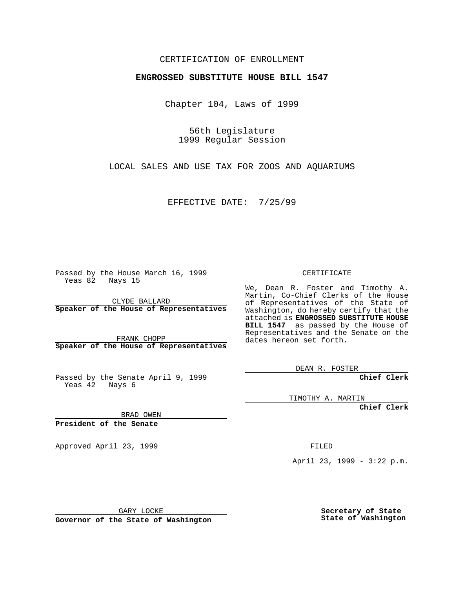## CERTIFICATION OF ENROLLMENT

## **ENGROSSED SUBSTITUTE HOUSE BILL 1547**

Chapter 104, Laws of 1999

56th Legislature 1999 Regular Session

LOCAL SALES AND USE TAX FOR ZOOS AND AQUARIUMS

EFFECTIVE DATE: 7/25/99

Passed by the House March 16, 1999 Yeas 82 Nays 15

CLYDE BALLARD **Speaker of the House of Representatives**

FRANK CHOPP **Speaker of the House of Representatives**

Passed by the Senate April 9, 1999 Yeas 42 Nays 6

CERTIFICATE

We, Dean R. Foster and Timothy A. Martin, Co-Chief Clerks of the House of Representatives of the State of Washington, do hereby certify that the attached is **ENGROSSED SUBSTITUTE HOUSE BILL 1547** as passed by the House of Representatives and the Senate on the dates hereon set forth.

DEAN R. FOSTER

**Chief Clerk**

TIMOTHY A. MARTIN

**Chief Clerk**

BRAD OWEN

**President of the Senate**

Approved April 23, 1999 FILED

April 23, 1999 - 3:22 p.m.

GARY LOCKE

**Governor of the State of Washington**

**Secretary of State State of Washington**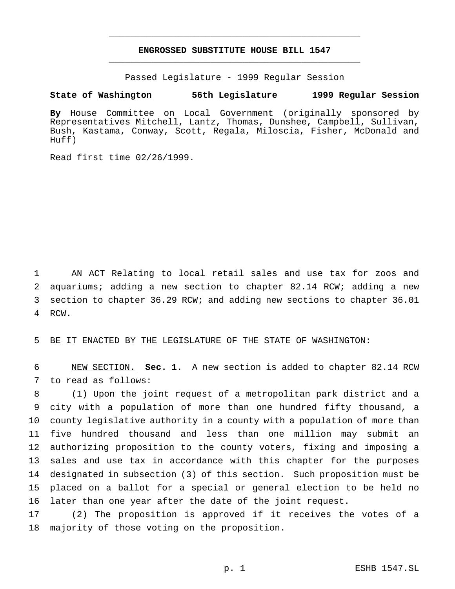## **ENGROSSED SUBSTITUTE HOUSE BILL 1547** \_\_\_\_\_\_\_\_\_\_\_\_\_\_\_\_\_\_\_\_\_\_\_\_\_\_\_\_\_\_\_\_\_\_\_\_\_\_\_\_\_\_\_\_\_\_\_

\_\_\_\_\_\_\_\_\_\_\_\_\_\_\_\_\_\_\_\_\_\_\_\_\_\_\_\_\_\_\_\_\_\_\_\_\_\_\_\_\_\_\_\_\_\_\_

Passed Legislature - 1999 Regular Session

## **State of Washington 56th Legislature 1999 Regular Session**

**By** House Committee on Local Government (originally sponsored by Representatives Mitchell, Lantz, Thomas, Dunshee, Campbell, Sullivan, Bush, Kastama, Conway, Scott, Regala, Miloscia, Fisher, McDonald and Huff)

Read first time 02/26/1999.

 AN ACT Relating to local retail sales and use tax for zoos and aquariums; adding a new section to chapter 82.14 RCW; adding a new section to chapter 36.29 RCW; and adding new sections to chapter 36.01 RCW.

BE IT ENACTED BY THE LEGISLATURE OF THE STATE OF WASHINGTON:

 NEW SECTION. **Sec. 1.** A new section is added to chapter 82.14 RCW to read as follows:

 (1) Upon the joint request of a metropolitan park district and a city with a population of more than one hundred fifty thousand, a county legislative authority in a county with a population of more than five hundred thousand and less than one million may submit an authorizing proposition to the county voters, fixing and imposing a sales and use tax in accordance with this chapter for the purposes designated in subsection (3) of this section. Such proposition must be placed on a ballot for a special or general election to be held no later than one year after the date of the joint request.

 (2) The proposition is approved if it receives the votes of a majority of those voting on the proposition.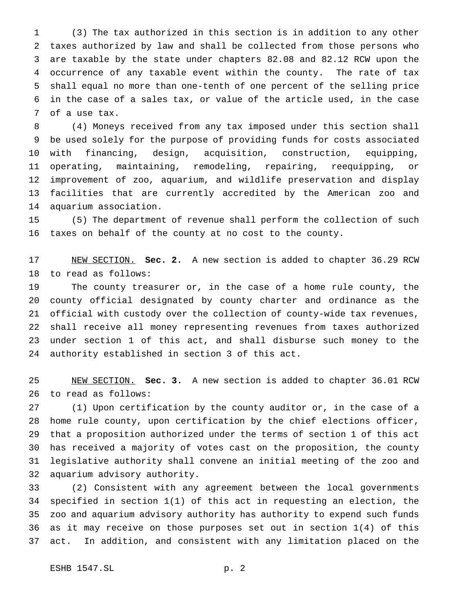(3) The tax authorized in this section is in addition to any other taxes authorized by law and shall be collected from those persons who are taxable by the state under chapters 82.08 and 82.12 RCW upon the occurrence of any taxable event within the county. The rate of tax shall equal no more than one-tenth of one percent of the selling price in the case of a sales tax, or value of the article used, in the case of a use tax.

 (4) Moneys received from any tax imposed under this section shall be used solely for the purpose of providing funds for costs associated with financing, design, acquisition, construction, equipping, operating, maintaining, remodeling, repairing, reequipping, or improvement of zoo, aquarium, and wildlife preservation and display facilities that are currently accredited by the American zoo and aquarium association.

 (5) The department of revenue shall perform the collection of such taxes on behalf of the county at no cost to the county.

 NEW SECTION. **Sec. 2.** A new section is added to chapter 36.29 RCW to read as follows:

 The county treasurer or, in the case of a home rule county, the county official designated by county charter and ordinance as the official with custody over the collection of county-wide tax revenues, shall receive all money representing revenues from taxes authorized under section 1 of this act, and shall disburse such money to the authority established in section 3 of this act.

 NEW SECTION. **Sec. 3.** A new section is added to chapter 36.01 RCW to read as follows:

 (1) Upon certification by the county auditor or, in the case of a home rule county, upon certification by the chief elections officer, that a proposition authorized under the terms of section 1 of this act has received a majority of votes cast on the proposition, the county legislative authority shall convene an initial meeting of the zoo and aquarium advisory authority.

 (2) Consistent with any agreement between the local governments specified in section 1(1) of this act in requesting an election, the zoo and aquarium advisory authority has authority to expend such funds as it may receive on those purposes set out in section 1(4) of this act. In addition, and consistent with any limitation placed on the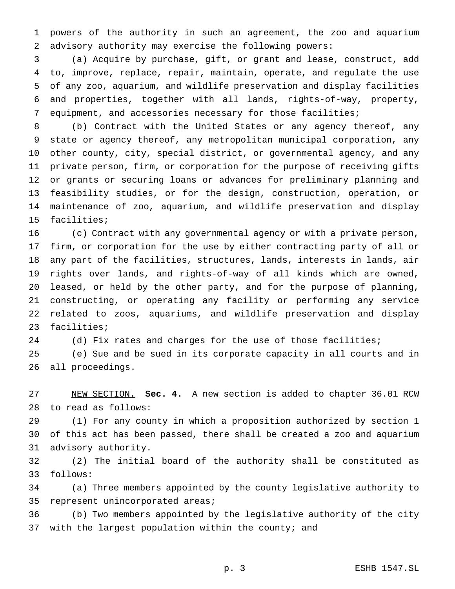powers of the authority in such an agreement, the zoo and aquarium advisory authority may exercise the following powers:

 (a) Acquire by purchase, gift, or grant and lease, construct, add to, improve, replace, repair, maintain, operate, and regulate the use of any zoo, aquarium, and wildlife preservation and display facilities and properties, together with all lands, rights-of-way, property, equipment, and accessories necessary for those facilities;

 (b) Contract with the United States or any agency thereof, any state or agency thereof, any metropolitan municipal corporation, any other county, city, special district, or governmental agency, and any private person, firm, or corporation for the purpose of receiving gifts or grants or securing loans or advances for preliminary planning and feasibility studies, or for the design, construction, operation, or maintenance of zoo, aquarium, and wildlife preservation and display facilities;

 (c) Contract with any governmental agency or with a private person, firm, or corporation for the use by either contracting party of all or any part of the facilities, structures, lands, interests in lands, air rights over lands, and rights-of-way of all kinds which are owned, leased, or held by the other party, and for the purpose of planning, constructing, or operating any facility or performing any service related to zoos, aquariums, and wildlife preservation and display facilities;

24 (d) Fix rates and charges for the use of those facilities;

 (e) Sue and be sued in its corporate capacity in all courts and in all proceedings.

 NEW SECTION. **Sec. 4.** A new section is added to chapter 36.01 RCW to read as follows:

 (1) For any county in which a proposition authorized by section 1 of this act has been passed, there shall be created a zoo and aquarium advisory authority.

 (2) The initial board of the authority shall be constituted as follows:

 (a) Three members appointed by the county legislative authority to represent unincorporated areas;

 (b) Two members appointed by the legislative authority of the city 37 with the largest population within the county; and